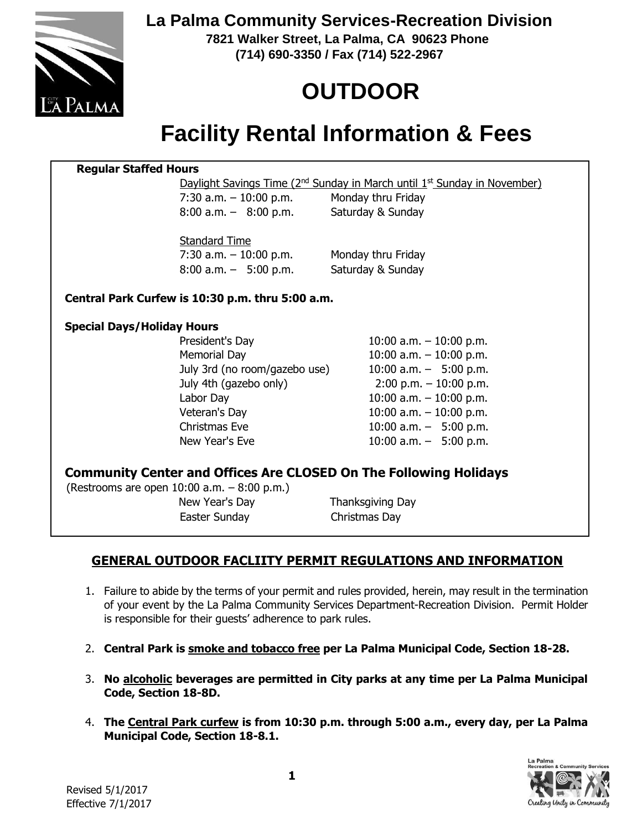

**La Palma Community Services-Recreation Division**

**7821 Walker Street, La Palma, CA 90623 Phone (714) 690-3350 / Fax (714) 522-2967**

# **OUTDOOR**

## **Facility Rental Information & Fees**

#### **Regular Staffed Hours**

Daylight Savings Time (2<sup>nd</sup> Sunday in March until 1<sup>st</sup> Sunday in November)

7:30 a.m.  $-10:00$  p.m. Monday thru Friday 8:00 a.m. – 8:00 p.m.

Saturday & Sunday

Standard Time

 $7:30$  a.m.  $-10:00$  p.m. Monday thru Friday 8:00 a.m. – 5:00 p.m. Saturday & Sunday

#### **Central Park Curfew is 10:30 p.m. thru 5:00 a.m.**

#### **Special Days/Holiday Hours**

President's Day 10:00 a.m. – 10:00 p.m. Memorial Day 10:00 a.m. – 10:00 p.m. July 3rd (no room/gazebo use)  $10:00$  a.m.  $-$  5:00 p.m. July 4th (gazebo only) 2:00 p.m. – 10:00 p.m. Labor Day 10:00 a.m. – 10:00 p.m. Veteran's Day 10:00 a.m. – 10:00 p.m. Christmas Eve 10:00 a.m. – 5:00 p.m. New Year's Eve 10:00 a.m. – 5:00 p.m.

#### **Community Center and Offices Are CLOSED On The Following Holidays**

(Restrooms are open 10:00 a.m. – 8:00 p.m.) New Year's Day **Thanksgiving Day** Easter Sunday Christmas Day

#### **GENERAL OUTDOOR FACLIITY PERMIT REGULATIONS AND INFORMATION**

- 1. Failure to abide by the terms of your permit and rules provided, herein, may result in the termination of your event by the La Palma Community Services Department-Recreation Division. Permit Holder is responsible for their guests' adherence to park rules.
- 2. **Central Park is smoke and tobacco free per La Palma Municipal Code, Section 18-28.**
- 3. **No alcoholic beverages are permitted in City parks at any time per La Palma Municipal Code, Section 18-8D.**
- 4. **The Central Park curfew is from 10:30 p.m. through 5:00 a.m., every day, per La Palma Municipal Code, Section 18-8.1.**



 $\overline{a}$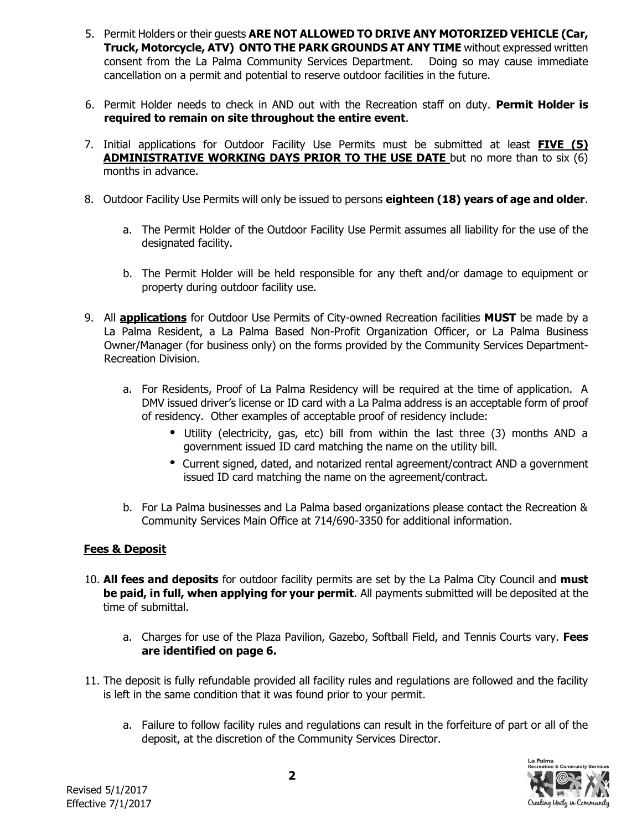- 5. Permit Holders or their guests **ARE NOT ALLOWED TO DRIVE ANY MOTORIZED VEHICLE (Car, Truck, Motorcycle, ATV) ONTO THE PARK GROUNDS AT ANY TIME** without expressed written consent from the La Palma Community Services Department. Doing so may cause immediate cancellation on a permit and potential to reserve outdoor facilities in the future.
- 6. Permit Holder needs to check in AND out with the Recreation staff on duty. **Permit Holder is required to remain on site throughout the entire event**.
- 7. Initial applications for Outdoor Facility Use Permits must be submitted at least **FIVE (5) ADMINISTRATIVE WORKING DAYS PRIOR TO THE USE DATE** but no more than to six (6) months in advance.
- 8. Outdoor Facility Use Permits will only be issued to persons **eighteen (18) years of age and older**.
	- a. The Permit Holder of the Outdoor Facility Use Permit assumes all liability for the use of the designated facility.
	- b. The Permit Holder will be held responsible for any theft and/or damage to equipment or property during outdoor facility use.
- 9. All **applications** for Outdoor Use Permits of City-owned Recreation facilities **MUST** be made by a La Palma Resident, a La Palma Based Non-Profit Organization Officer, or La Palma Business Owner/Manager (for business only) on the forms provided by the Community Services Department-Recreation Division.
	- a. For Residents, Proof of La Palma Residency will be required at the time of application. A DMV issued driver's license or ID card with a La Palma address is an acceptable form of proof of residency. Other examples of acceptable proof of residency include:
		- Utility (electricity, gas, etc) bill from within the last three (3) months AND a government issued ID card matching the name on the utility bill.
		- Current signed, dated, and notarized rental agreement/contract AND a government issued ID card matching the name on the agreement/contract.
	- b. For La Palma businesses and La Palma based organizations please contact the Recreation & Community Services Main Office at 714/690-3350 for additional information.

#### **Fees & Deposit**

- 10. **All fees and deposits** for outdoor facility permits are set by the La Palma City Council and **must be paid, in full, when applying for your permit**. All payments submitted will be deposited at the time of submittal.
	- a. Charges for use of the Plaza Pavilion, Gazebo, Softball Field, and Tennis Courts vary. **Fees are identified on page 6.**
- 11. The deposit is fully refundable provided all facility rules and regulations are followed and the facility is left in the same condition that it was found prior to your permit.
	- a. Failure to follow facility rules and regulations can result in the forfeiture of part or all of the deposit, at the discretion of the Community Services Director.

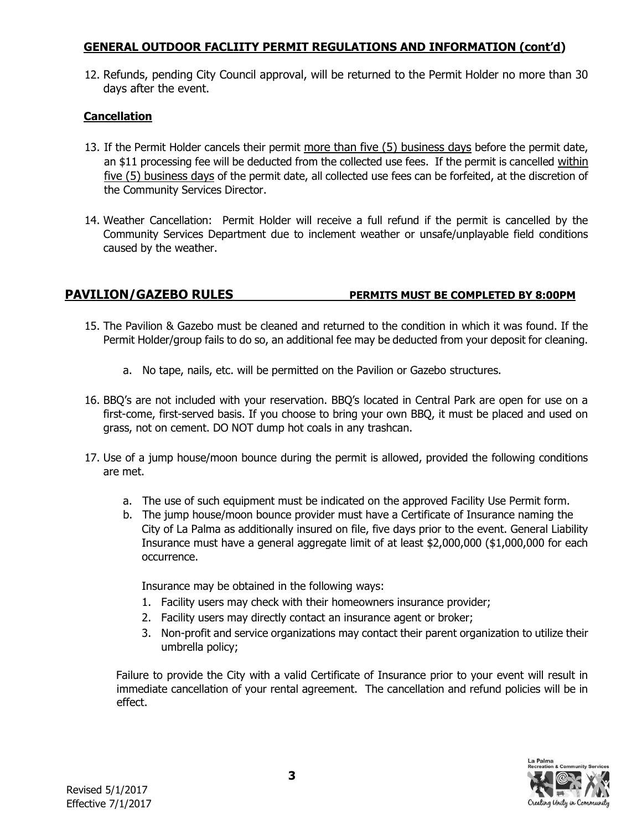#### **GENERAL OUTDOOR FACLIITY PERMIT REGULATIONS AND INFORMATION (cont'd)**

12. Refunds, pending City Council approval, will be returned to the Permit Holder no more than 30 days after the event.

#### **Cancellation**

- 13. If the Permit Holder cancels their permit more than five (5) business days before the permit date, an \$11 processing fee will be deducted from the collected use fees. If the permit is cancelled within five (5) business days of the permit date, all collected use fees can be forfeited, at the discretion of the Community Services Director.
- 14. Weather Cancellation: Permit Holder will receive a full refund if the permit is cancelled by the Community Services Department due to inclement weather or unsafe/unplayable field conditions caused by the weather.

#### **PAVILION/GAZEBO RULES PERMITS MUST BE COMPLETED BY 8:00PM**

- 15. The Pavilion & Gazebo must be cleaned and returned to the condition in which it was found. If the Permit Holder/group fails to do so, an additional fee may be deducted from your deposit for cleaning.
	- a. No tape, nails, etc. will be permitted on the Pavilion or Gazebo structures.
- 16. BBQ's are not included with your reservation. BBQ's located in Central Park are open for use on a first-come, first-served basis. If you choose to bring your own BBQ, it must be placed and used on grass, not on cement. DO NOT dump hot coals in any trashcan.
- 17. Use of a jump house/moon bounce during the permit is allowed, provided the following conditions are met.
	- a. The use of such equipment must be indicated on the approved Facility Use Permit form.
	- b. The jump house/moon bounce provider must have a Certificate of Insurance naming the City of La Palma as additionally insured on file, five days prior to the event. General Liability Insurance must have a general aggregate limit of at least \$2,000,000 (\$1,000,000 for each occurrence.

Insurance may be obtained in the following ways:

- 1. Facility users may check with their homeowners insurance provider;
- 2. Facility users may directly contact an insurance agent or broker;
- 3. Non-profit and service organizations may contact their parent organization to utilize their umbrella policy;

Failure to provide the City with a valid Certificate of Insurance prior to your event will result in immediate cancellation of your rental agreement. The cancellation and refund policies will be in effect.

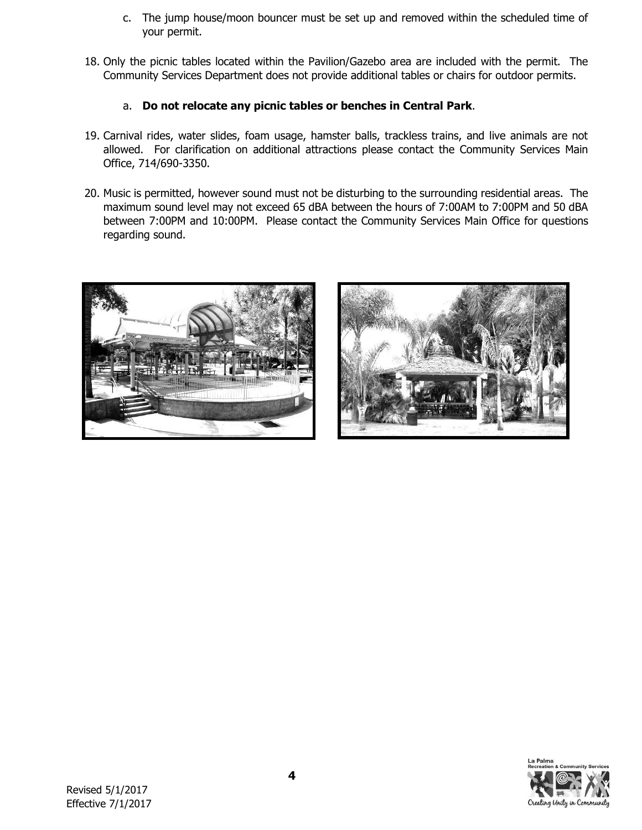- c. The jump house/moon bouncer must be set up and removed within the scheduled time of your permit.
- 18. Only the picnic tables located within the Pavilion/Gazebo area are included with the permit. The Community Services Department does not provide additional tables or chairs for outdoor permits.

#### a. **Do not relocate any picnic tables or benches in Central Park**.

- 19. Carnival rides, water slides, foam usage, hamster balls, trackless trains, and live animals are not allowed. For clarification on additional attractions please contact the Community Services Main Office, 714/690-3350.
- 20. Music is permitted, however sound must not be disturbing to the surrounding residential areas. The maximum sound level may not exceed 65 dBA between the hours of 7:00AM to 7:00PM and 50 dBA between 7:00PM and 10:00PM. Please contact the Community Services Main Office for questions regarding sound.





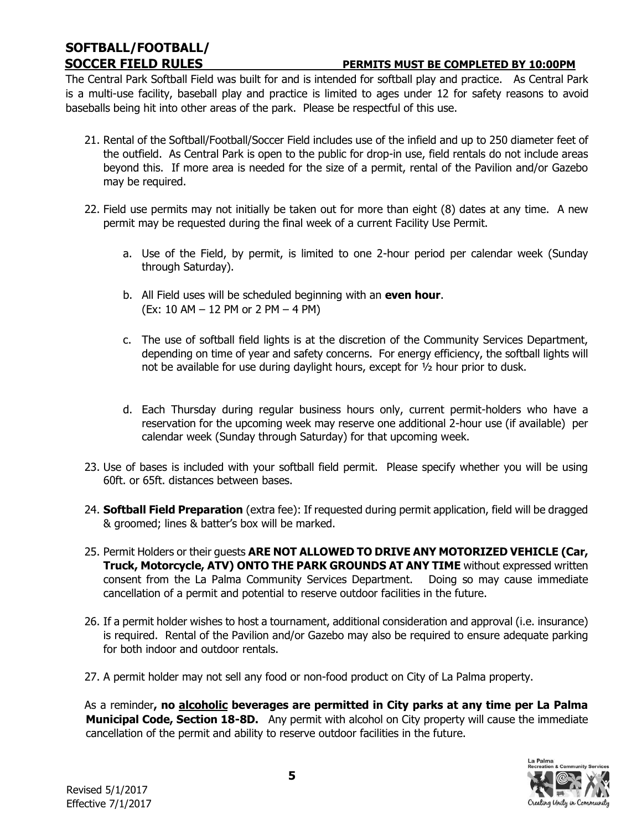# **SOFTBALL/FOOTBALL/**

#### **SOCCER FIELD RULES PERMITS MUST BE COMPLETED BY 10:00PM**

The Central Park Softball Field was built for and is intended for softball play and practice. As Central Park is a multi-use facility, baseball play and practice is limited to ages under 12 for safety reasons to avoid baseballs being hit into other areas of the park. Please be respectful of this use.

- 21. Rental of the Softball/Football/Soccer Field includes use of the infield and up to 250 diameter feet of the outfield. As Central Park is open to the public for drop-in use, field rentals do not include areas beyond this. If more area is needed for the size of a permit, rental of the Pavilion and/or Gazebo may be required.
- 22. Field use permits may not initially be taken out for more than eight (8) dates at any time. A new permit may be requested during the final week of a current Facility Use Permit.
	- a. Use of the Field, by permit, is limited to one 2-hour period per calendar week (Sunday through Saturday).
	- b. All Field uses will be scheduled beginning with an **even hour**. (Ex: 10 AM – 12 PM or 2 PM – 4 PM)
	- c. The use of softball field lights is at the discretion of the Community Services Department, depending on time of year and safety concerns. For energy efficiency, the softball lights will not be available for use during daylight hours, except for ½ hour prior to dusk.
	- d. Each Thursday during regular business hours only, current permit-holders who have a reservation for the upcoming week may reserve one additional 2-hour use (if available) per calendar week (Sunday through Saturday) for that upcoming week.
- 23. Use of bases is included with your softball field permit. Please specify whether you will be using 60ft. or 65ft. distances between bases.
- 24. **Softball Field Preparation** (extra fee): If requested during permit application, field will be dragged & groomed; lines & batter's box will be marked.
- 25. Permit Holders or their guests **ARE NOT ALLOWED TO DRIVE ANY MOTORIZED VEHICLE (Car, Truck, Motorcycle, ATV) ONTO THE PARK GROUNDS AT ANY TIME** without expressed written consent from the La Palma Community Services Department. Doing so may cause immediate cancellation of a permit and potential to reserve outdoor facilities in the future.
- 26. If a permit holder wishes to host a tournament, additional consideration and approval (i.e. insurance) is required. Rental of the Pavilion and/or Gazebo may also be required to ensure adequate parking for both indoor and outdoor rentals.
- 27. A permit holder may not sell any food or non-food product on City of La Palma property.

As a reminder**, no alcoholic beverages are permitted in City parks at any time per La Palma Municipal Code, Section 18-8D.** Any permit with alcohol on City property will cause the immediate cancellation of the permit and ability to reserve outdoor facilities in the future.

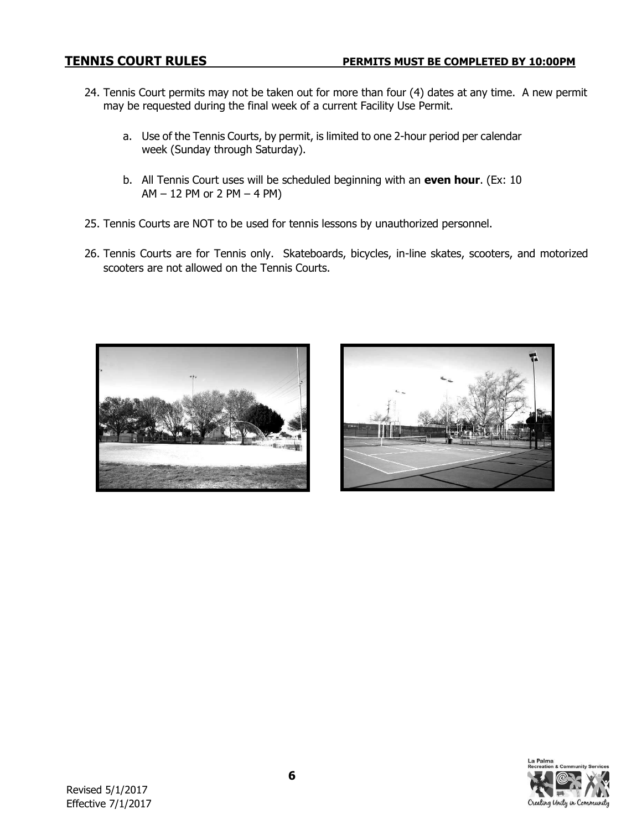- 24. Tennis Court permits may not be taken out for more than four (4) dates at any time. A new permit may be requested during the final week of a current Facility Use Permit.
	- a. Use of the Tennis Courts, by permit, is limited to one 2-hour period per calendar week (Sunday through Saturday).
	- b. All Tennis Court uses will be scheduled beginning with an **even hour**. (Ex: 10 AM – 12 PM or 2 PM – 4 PM)
- 25. Tennis Courts are NOT to be used for tennis lessons by unauthorized personnel.
- 26. Tennis Courts are for Tennis only. Skateboards, bicycles, in-line skates, scooters, and motorized scooters are not allowed on the Tennis Courts.